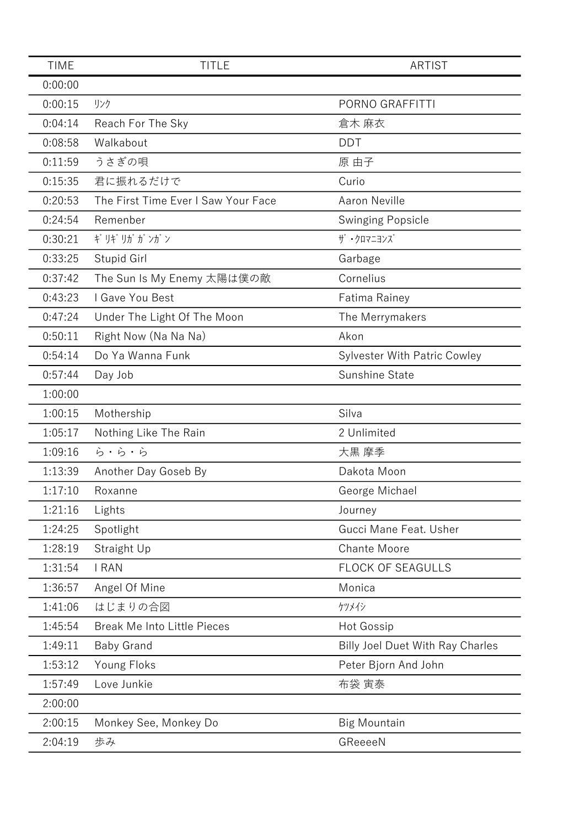| <b>TIME</b> | <b>TITLE</b>                        | ARTIST                                  |
|-------------|-------------------------------------|-----------------------------------------|
| 0:00:00     |                                     |                                         |
| 0:00:15     | リンク                                 | PORNO GRAFFITTI                         |
| 0:04:14     | Reach For The Sky                   | 倉木 麻衣                                   |
| 0:08:58     | Walkabout                           | <b>DDT</b>                              |
| 0:11:59     | うさぎの唄                               | 原 由子                                    |
| 0:15:35     | 君に振れるだけで                            | Curio                                   |
| 0:20:53     | The First Time Ever I Saw Your Face | <b>Aaron Neville</b>                    |
| 0:24:54     | Remenber                            | <b>Swinging Popsicle</b>                |
| 0:30:21     | ギリギリガガンガン                           | ザ・クロマニヨンズ                               |
| 0:33:25     | Stupid Girl                         | Garbage                                 |
| 0:37:42     | The Sun Is My Enemy 太陽は僕の敵          | Cornelius                               |
| 0:43:23     | I Gave You Best                     | Fatima Rainey                           |
| 0:47:24     | Under The Light Of The Moon         | The Merrymakers                         |
| 0:50:11     | Right Now (Na Na Na)                | Akon                                    |
| 0:54:14     | Do Ya Wanna Funk                    | <b>Sylvester With Patric Cowley</b>     |
| 0:57:44     | Day Job                             | Sunshine State                          |
| 1:00:00     |                                     |                                         |
| 1:00:15     | Mothership                          | Silva                                   |
| 1:05:17     | Nothing Like The Rain               | 2 Unlimited                             |
| 1:09:16     | ら・ら・ら                               | 大黒 摩季                                   |
| 1:13:39     | Another Day Goseb By                | Dakota Moon                             |
| 1:17:10     | Roxanne                             | George Michael                          |
| 1:21:16     | Lights                              | Journey                                 |
| 1:24:25     | Spotlight                           | Gucci Mane Feat. Usher                  |
| 1:28:19     | Straight Up                         | <b>Chante Moore</b>                     |
| 1:31:54     | <b>I RAN</b>                        | <b>FLOCK OF SEAGULLS</b>                |
| 1:36:57     | Angel Of Mine                       | Monica                                  |
| 1:41:06     | はじまりの合図                             | ケツメイシ                                   |
| 1:45:54     | <b>Break Me Into Little Pieces</b>  | <b>Hot Gossip</b>                       |
| 1:49:11     | <b>Baby Grand</b>                   | <b>Billy Joel Duet With Ray Charles</b> |
| 1:53:12     | Young Floks                         | Peter Bjorn And John                    |
| 1:57:49     | Love Junkie                         | 布袋 寅泰                                   |
| 2:00:00     |                                     |                                         |
| 2:00:15     | Monkey See, Monkey Do               | <b>Big Mountain</b>                     |
| 2:04:19     | 歩み                                  | GReeeeN                                 |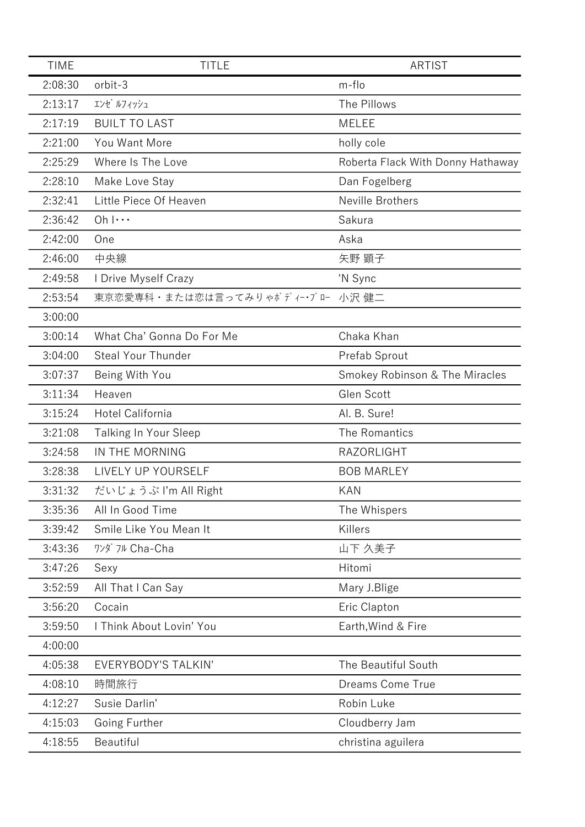| <b>TIME</b> | <b>TITLE</b>                    | <b>ARTIST</b>                     |
|-------------|---------------------------------|-----------------------------------|
| 2:08:30     | orbit-3                         | m-flo                             |
| 2:13:17     | エンゼ ルフィッシュ                      | The Pillows                       |
| 2:17:19     | <b>BUILT TO LAST</b>            | <b>MELEE</b>                      |
| 2:21:00     | You Want More                   | holly cole                        |
| 2:25:29     | Where Is The Love               | Roberta Flack With Donny Hathaway |
| 2:28:10     | Make Love Stay                  | Dan Fogelberg                     |
| 2:32:41     | Little Piece Of Heaven          | Neville Brothers                  |
| 2:36:42     | $Oh$ $ \cdots$                  | Sakura                            |
| 2:42:00     | One                             | Aska                              |
| 2:46:00     | 中央線                             | 矢野 顕子                             |
| 2:49:58     | I Drive Myself Crazy            | 'N Sync                           |
| 2:53:54     | 東京恋愛専科・または恋は言ってみりゃボディー・ブロー 小沢健二 |                                   |
| 3:00:00     |                                 |                                   |
| 3:00:14     | What Cha' Gonna Do For Me       | Chaka Khan                        |
| 3:04:00     | Steal Your Thunder              | Prefab Sprout                     |
| 3:07:37     | Being With You                  | Smokey Robinson & The Miracles    |
| 3:11:34     | Heaven                          | Glen Scott                        |
| 3:15:24     | Hotel California                | Al. B. Sure!                      |
| 3:21:08     | Talking In Your Sleep           | The Romantics                     |
| 3:24:58     | IN THE MORNING                  | <b>RAZORLIGHT</b>                 |
| 3:28:38     | LIVELY UP YOURSELF              | <b>BOB MARLEY</b>                 |
| 3:31:32     | だいじょうぶ I'm All Right            | <b>KAN</b>                        |
| 3:35:36     | All In Good Time                | The Whispers                      |
| 3:39:42     | Smile Like You Mean It          | Killers                           |
| 3:43:36     | ワンダ フル Cha-Cha                  | 山下 久美子                            |
| 3:47:26     | Sexy                            | Hitomi                            |
| 3:52:59     | All That I Can Say              | Mary J.Blige                      |
| 3:56:20     | Cocain                          | Eric Clapton                      |
| 3:59:50     | I Think About Lovin' You        | Earth, Wind & Fire                |
| 4:00:00     |                                 |                                   |
| 4:05:38     | <b>EVERYBODY'S TALKIN'</b>      | The Beautiful South               |
| 4:08:10     | 時間旅行                            | Dreams Come True                  |
| 4:12:27     | Susie Darlin'                   | Robin Luke                        |
| 4:15:03     | Going Further                   | Cloudberry Jam                    |
| 4:18:55     | Beautiful                       | christina aguilera                |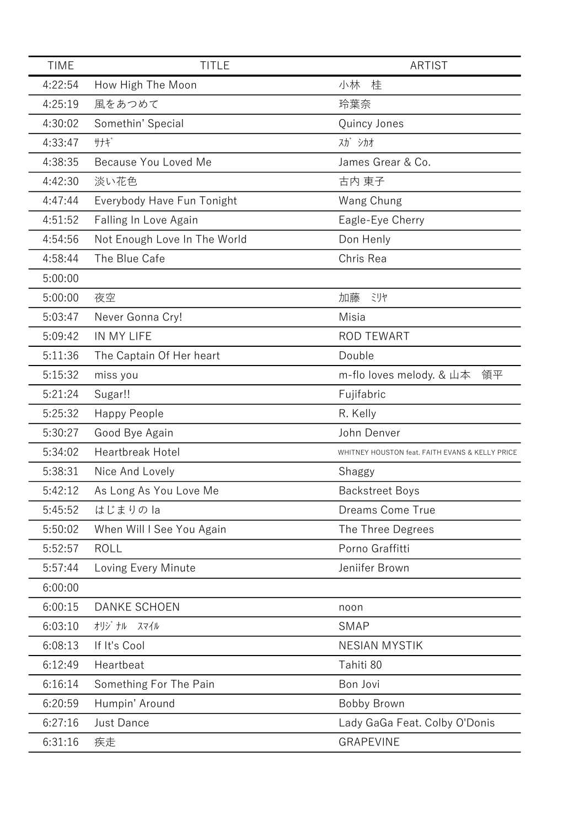| <b>TIME</b> | <b>TITLE</b>                 | <b>ARTIST</b>                                   |
|-------------|------------------------------|-------------------------------------------------|
| 4:22:54     | How High The Moon            | 小林<br>桂                                         |
| 4:25:19     | 風をあつめて                       | 玲葉奈                                             |
| 4:30:02     | Somethin' Special            | Quincy Jones                                    |
| 4:33:47     | サナギ                          | スガ シカオ                                          |
| 4:38:35     | Because You Loved Me         | James Grear & Co.                               |
| 4:42:30     | 淡い花色                         | 古内 東子                                           |
| 4:47:44     | Everybody Have Fun Tonight   | Wang Chung                                      |
| 4:51:52     | Falling In Love Again        | Eagle-Eye Cherry                                |
| 4:54:56     | Not Enough Love In The World | Don Henly                                       |
| 4:58:44     | The Blue Cafe                | Chris Rea                                       |
| 5:00:00     |                              |                                                 |
| 5:00:00     | 夜空                           | 加藤<br>ミリヤ                                       |
| 5:03:47     | Never Gonna Cry!             | Misia                                           |
| 5:09:42     | IN MY LIFE                   | <b>ROD TEWART</b>                               |
| 5:11:36     | The Captain Of Her heart     | Double                                          |
| 5:15:32     | miss you                     | m-flo loves melody. & 山本<br>領平                  |
| 5:21:24     | Sugar!!                      | Fujifabric                                      |
| 5:25:32     | Happy People                 | R. Kelly                                        |
| 5:30:27     | Good Bye Again               | John Denver                                     |
| 5:34:02     | <b>Heartbreak Hotel</b>      | WHITNEY HOUSTON feat. FAITH EVANS & KELLY PRICE |
| 5:38:31     | Nice And Lovely              | Shaggy                                          |
| 5:42:12     | As Long As You Love Me       | <b>Backstreet Boys</b>                          |
| 5:45:52     | はじまりのla                      | <b>Dreams Come True</b>                         |
| 5:50:02     | When Will I See You Again    | The Three Degrees                               |
| 5:52:57     | <b>ROLL</b>                  | Porno Graffitti                                 |
| 5:57:44     | Loving Every Minute          | Jeniifer Brown                                  |
| 6:00:00     |                              |                                                 |
| 6:00:15     | <b>DANKE SCHOEN</b>          | noon                                            |
| 6:03:10     | オリジナル<br>スマイル                | <b>SMAP</b>                                     |
| 6:08:13     | If It's Cool                 | <b>NESIAN MYSTIK</b>                            |
| 6:12:49     | Heartbeat                    | Tahiti 80                                       |
| 6:16:14     | Something For The Pain       | Bon Jovi                                        |
| 6:20:59     | Humpin' Around               | Bobby Brown                                     |
| 6:27:16     | Just Dance                   | Lady GaGa Feat. Colby O'Donis                   |
| 6:31:16     | 疾走                           | <b>GRAPEVINE</b>                                |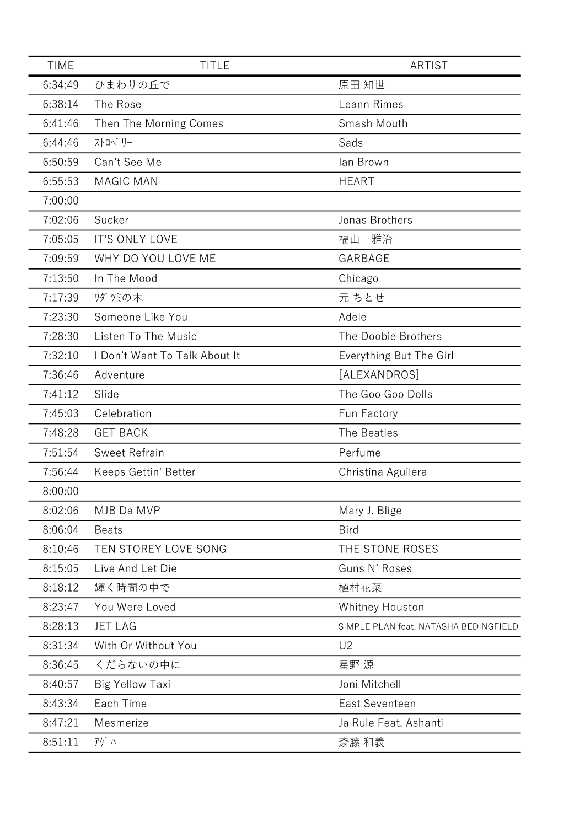| <b>TIME</b> | <b>TITLE</b>                  | <b>ARTIST</b>                         |
|-------------|-------------------------------|---------------------------------------|
| 6:34:49     | ひまわりの丘で                       | 原田 知世                                 |
| 6:38:14     | The Rose                      | Leann Rimes                           |
| 6:41:46     | Then The Morning Comes        | Smash Mouth                           |
| 6:44:46     | ストロベリー                        | Sads                                  |
| 6:50:59     | Can't See Me                  | lan Brown                             |
| 6:55:53     | <b>MAGIC MAN</b>              | <b>HEART</b>                          |
| 7:00:00     |                               |                                       |
| 7:02:06     | Sucker                        | Jonas Brothers                        |
| 7:05:05     | <b>IT'S ONLY LOVE</b>         | 雅治<br>福山                              |
| 7:09:59     | WHY DO YOU LOVE ME            | GARBAGE                               |
| 7:13:50     | In The Mood                   | Chicago                               |
| 7:17:39     | ワダツミの木                        | 元 ちとせ                                 |
| 7:23:30     | Someone Like You              | Adele                                 |
| 7:28:30     | Listen To The Music           | The Doobie Brothers                   |
| 7:32:10     | I Don't Want To Talk About It | Everything But The Girl               |
| 7:36:46     | Adventure                     | [ALEXANDROS]                          |
| 7:41:12     | Slide                         | The Goo Goo Dolls                     |
| 7:45:03     | Celebration                   | Fun Factory                           |
| 7:48:28     | <b>GET BACK</b>               | The Beatles                           |
| 7:51:54     | <b>Sweet Refrain</b>          | Perfume                               |
| 7:56:44     | Keeps Gettin' Better          | Christina Aguilera                    |
| 8:00:00     |                               |                                       |
| 8:02:06     | MJB Da MVP                    | Mary J. Blige                         |
| 8:06:04     | <b>Beats</b>                  | <b>Bird</b>                           |
| 8:10:46     | TEN STOREY LOVE SONG          | THE STONE ROSES                       |
| 8:15:05     | Live And Let Die              | Guns N' Roses                         |
| 8:18:12     | 輝く時間の中で                       | 植村花菜                                  |
| 8:23:47     | You Were Loved                | Whitney Houston                       |
| 8:28:13     | <b>JET LAG</b>                | SIMPLE PLAN feat. NATASHA BEDINGFIELD |
| 8:31:34     | With Or Without You           | U <sub>2</sub>                        |
| 8:36:45     | くだらないの中に                      | 星野 源                                  |
| 8:40:57     | <b>Big Yellow Taxi</b>        | Joni Mitchell                         |
| 8:43:34     | Each Time                     | East Seventeen                        |
| 8:47:21     | Mesmerize                     | Ja Rule Feat. Ashanti                 |
| 8:51:11     | アゲハ                           | 斎藤 和義                                 |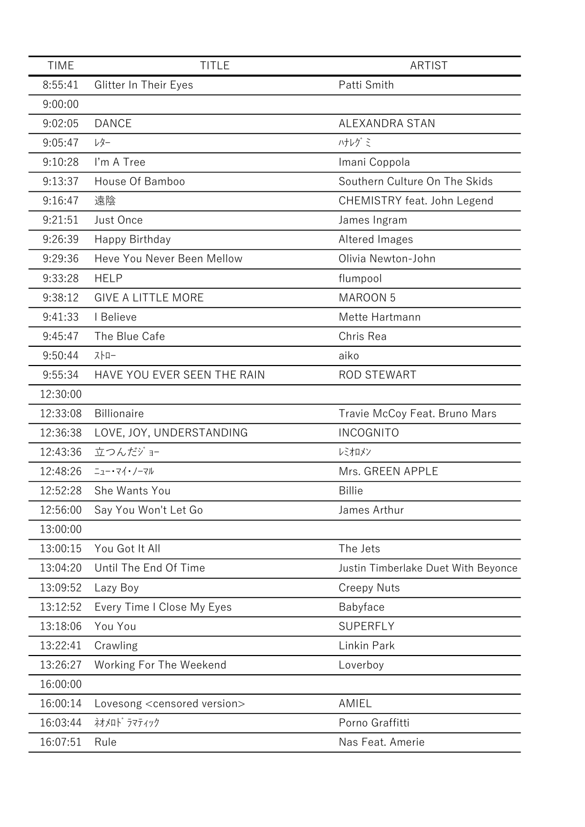| <b>TIME</b> | <b>TITLE</b>                              | <b>ARTIST</b>                       |
|-------------|-------------------------------------------|-------------------------------------|
| 8:55:41     | Glitter In Their Eyes                     | Patti Smith                         |
| 9:00:00     |                                           |                                     |
| 9:02:05     | <b>DANCE</b>                              | ALEXANDRA STAN                      |
| 9:05:47     | レター                                       | ハナレグミ                               |
| 9:10:28     | I'm A Tree                                | Imani Coppola                       |
| 9:13:37     | House Of Bamboo                           | Southern Culture On The Skids       |
| 9:16:47     | 遠陰                                        | CHEMISTRY feat. John Legend         |
| 9:21:51     | Just Once                                 | James Ingram                        |
| 9:26:39     | Happy Birthday                            | Altered Images                      |
| 9:29:36     | Heve You Never Been Mellow                | Olivia Newton-John                  |
| 9:33:28     | <b>HELP</b>                               | flumpool                            |
| 9:38:12     | <b>GIVE A LITTLE MORE</b>                 | <b>MAROON 5</b>                     |
| 9:41:33     | I Believe                                 | Mette Hartmann                      |
| 9:45:47     | The Blue Cafe                             | Chris Rea                           |
| 9:50:44     | 지 -                                       | aiko                                |
| 9:55:34     | HAVE YOU EVER SEEN THE RAIN               | <b>ROD STEWART</b>                  |
| 12:30:00    |                                           |                                     |
| 12:33:08    | <b>Billionaire</b>                        | Travie McCoy Feat. Bruno Mars       |
| 12:36:38    | LOVE, JOY, UNDERSTANDING                  | <b>INCOGNITO</b>                    |
| 12:43:36    | 立つんだジョー                                   | レミオロメン                              |
| 12:48:26    | ニュー・マイ・ノーマル                               | Mrs. GREEN APPLE                    |
| 12:52:28    | She Wants You                             | <b>Billie</b>                       |
| 12:56:00    | Say You Won't Let Go                      | James Arthur                        |
| 13:00:00    |                                           |                                     |
| 13:00:15    | You Got It All                            | The Jets                            |
| 13:04:20    | Until The End Of Time                     | Justin Timberlake Duet With Beyonce |
| 13:09:52    | Lazy Boy                                  | <b>Creepy Nuts</b>                  |
| 13:12:52    | Every Time I Close My Eyes                | Babyface                            |
| 13:18:06    | You You                                   | <b>SUPERFLY</b>                     |
| 13:22:41    | Crawling                                  | Linkin Park                         |
| 13:26:27    | Working For The Weekend                   | Loverboy                            |
| 16:00:00    |                                           |                                     |
| 16:00:14    | Lovesong <censored version=""></censored> | AMIEL                               |
| 16:03:44    | ネオメロト゛ラマティック                              | Porno Graffitti                     |
| 16:07:51    | Rule                                      | Nas Feat. Amerie                    |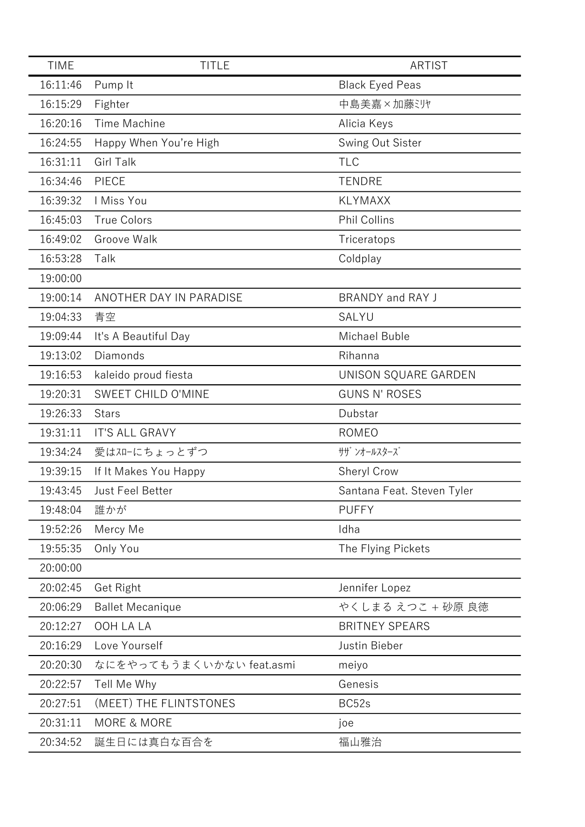| <b>TIME</b> | <b>TITLE</b>             | <b>ARTIST</b>              |
|-------------|--------------------------|----------------------------|
| 16:11:46    | Pump It                  | <b>Black Eyed Peas</b>     |
| 16:15:29    | Fighter                  | 中島美嘉×加藤ミリヤ                 |
| 16:20:16    | Time Machine             | Alicia Keys                |
| 16:24:55    | Happy When You're High   | Swing Out Sister           |
| 16:31:11    | <b>Girl Talk</b>         | <b>TLC</b>                 |
| 16:34:46    | PIECE                    | <b>TENDRE</b>              |
| 16:39:32    | I Miss You               | <b>KLYMAXX</b>             |
| 16:45:03    | <b>True Colors</b>       | <b>Phil Collins</b>        |
| 16:49:02    | Groove Walk              | Triceratops                |
| 16:53:28    | Talk                     | Coldplay                   |
| 19:00:00    |                          |                            |
| 19:00:14    | ANOTHER DAY IN PARADISE  | BRANDY and RAY J           |
| 19:04:33    | 青空                       | SALYU                      |
| 19:09:44    | It's A Beautiful Day     | Michael Buble              |
| 19:13:02    | Diamonds                 | Rihanna                    |
| 19:16:53    | kaleido proud fiesta     | UNISON SQUARE GARDEN       |
| 19:20:31    | SWEET CHILD O'MINE       | <b>GUNS N' ROSES</b>       |
| 19:26:33    | <b>Stars</b>             | Dubstar                    |
| 19:31:11    | <b>IT'S ALL GRAVY</b>    | <b>ROMEO</b>               |
| 19:34:24    | 愛はスローにちょっとずつ             | サザ ンオールスターズ                |
| 19:39:15    | If It Makes You Happy    | Sheryl Crow                |
| 19:43:45    | <b>Just Feel Better</b>  | Santana Feat. Steven Tyler |
| 19:48:04    | 誰かが                      | <b>PUFFY</b>               |
| 19:52:26    | Mercy Me                 | Idha                       |
| 19:55:35    | Only You                 | The Flying Pickets         |
| 20:00:00    |                          |                            |
| 20:02:45    | Get Right                | Jennifer Lopez             |
| 20:06:29    | <b>Ballet Mecanique</b>  | やくしまる えつこ + 砂原 良徳          |
| 20:12:27    | OOH LA LA                | <b>BRITNEY SPEARS</b>      |
| 20:16:29    | Love Yourself            | Justin Bieber              |
| 20:20:30    | なにをやってもうまくいかない feat.asmi | meiyo                      |
| 20:22:57    | Tell Me Why              | Genesis                    |
| 20:27:51    | (MEET) THE FLINTSTONES   | BC52s                      |
| 20:31:11    | <b>MORE &amp; MORE</b>   | joe                        |
| 20:34:52    | 誕生日には真白な百合を              | 福山雅治                       |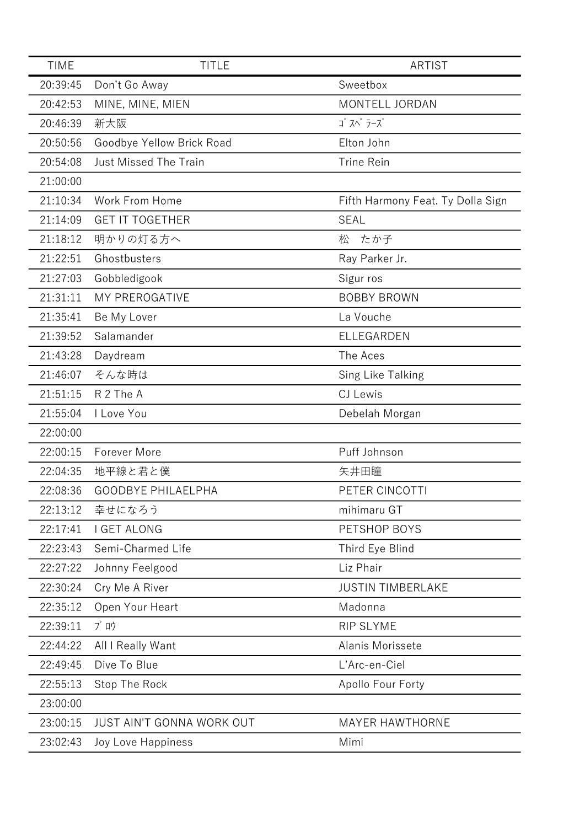| <b>TIME</b> | <b>TITLE</b>                     | <b>ARTIST</b>                     |
|-------------|----------------------------------|-----------------------------------|
| 20:39:45    | Don't Go Away                    | Sweetbox                          |
| 20:42:53    | MINE, MINE, MIEN                 | MONTELL JORDAN                    |
| 20:46:39    | 新大阪                              | ゴ スペ ラーズ                          |
| 20:50:56    | Goodbye Yellow Brick Road        | Elton John                        |
| 20:54:08    | <b>Just Missed The Train</b>     | <b>Trine Rein</b>                 |
| 21:00:00    |                                  |                                   |
| 21:10:34    | Work From Home                   | Fifth Harmony Feat. Ty Dolla Sign |
| 21:14:09    | <b>GET IT TOGETHER</b>           | <b>SEAL</b>                       |
| 21:18:12    | 明かりの灯る方へ                         | たか子<br>松                          |
| 21:22:51    | Ghostbusters                     | Ray Parker Jr.                    |
| 21:27:03    | Gobbledigook                     | Sigur ros                         |
| 21:31:11    | MY PREROGATIVE                   | <b>BOBBY BROWN</b>                |
| 21:35:41    | Be My Lover                      | La Vouche                         |
| 21:39:52    | Salamander                       | ELLEGARDEN                        |
| 21:43:28    | Daydream                         | The Aces                          |
| 21:46:07    | そんな時は                            | Sing Like Talking                 |
| 21:51:15    | R 2 The A                        | CJ Lewis                          |
| 21:55:04    | I Love You                       | Debelah Morgan                    |
| 22:00:00    |                                  |                                   |
| 22:00:15    | <b>Forever More</b>              | Puff Johnson                      |
| 22:04:35    | 地平線と君と僕                          | 矢井田瞳                              |
| 22:08:36    | <b>GOODBYE PHILAELPHA</b>        | PETER CINCOTTI                    |
| 22:13:12    | 幸せになろう                           | mihimaru GT                       |
| 22:17:41    | I GET ALONG                      | PETSHOP BOYS                      |
| 22:23:43    | Semi-Charmed Life                | Third Eye Blind                   |
| 22:27:22    | Johnny Feelgood                  | Liz Phair                         |
| 22:30:24    | Cry Me A River                   | <b>JUSTIN TIMBERLAKE</b>          |
| 22:35:12    | Open Your Heart                  | Madonna                           |
| 22:39:11    | ブロウ                              | <b>RIP SLYME</b>                  |
| 22:44:22    | All I Really Want                | Alanis Morissete                  |
| 22:49:45    | Dive To Blue                     | L'Arc-en-Ciel                     |
| 22:55:13    | Stop The Rock                    | Apollo Four Forty                 |
| 23:00:00    |                                  |                                   |
| 23:00:15    | <b>JUST AIN'T GONNA WORK OUT</b> | <b>MAYER HAWTHORNE</b>            |
| 23:02:43    | Joy Love Happiness               | Mimi                              |